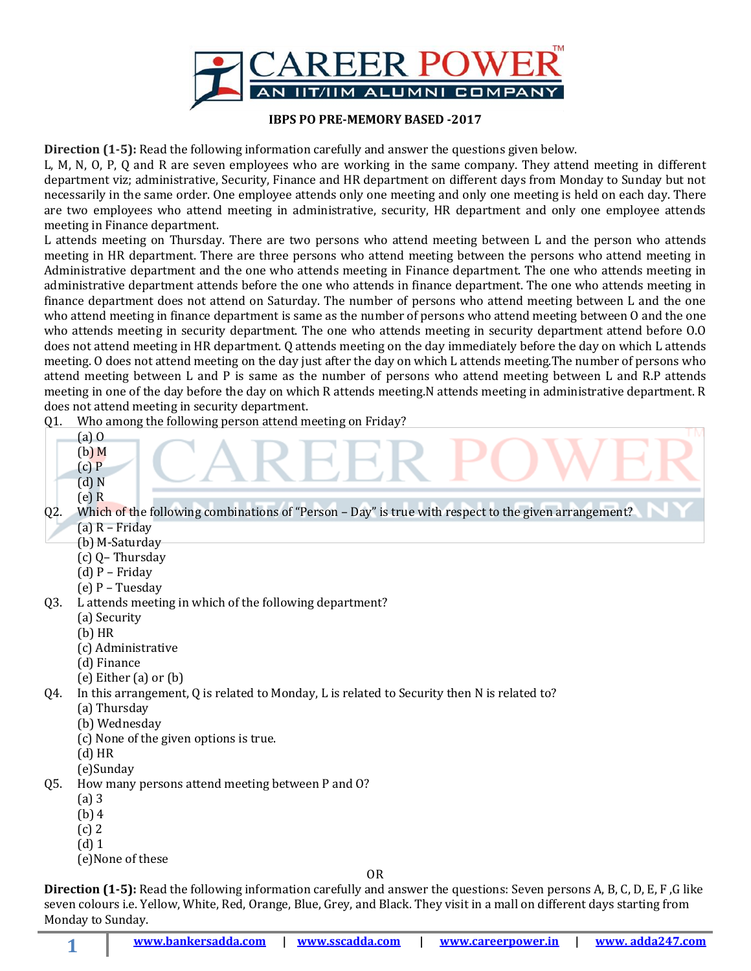

## **IBPS PO PRE-MEMORY BASED -2017**

**Direction (1-5):** Read the following information carefully and answer the questions given below.

L, M, N, O, P, Q and R are seven employees who are working in the same company. They attend meeting in different department viz; administrative, Security, Finance and HR department on different days from Monday to Sunday but not necessarily in the same order. One employee attends only one meeting and only one meeting is held on each day. There are two employees who attend meeting in administrative, security, HR department and only one employee attends meeting in Finance department.

L attends meeting on Thursday. There are two persons who attend meeting between L and the person who attends meeting in HR department. There are three persons who attend meeting between the persons who attend meeting in Administrative department and the one who attends meeting in Finance department. The one who attends meeting in administrative department attends before the one who attends in finance department. The one who attends meeting in finance department does not attend on Saturday. The number of persons who attend meeting between L and the one who attend meeting in finance department is same as the number of persons who attend meeting between O and the one who attends meeting in security department. The one who attends meeting in security department attend before O.O does not attend meeting in HR department. Q attends meeting on the day immediately before the day on which L attends meeting. O does not attend meeting on the day just after the day on which L attends meeting.The number of persons who attend meeting between L and P is same as the number of persons who attend meeting between L and R.P attends meeting in one of the day before the day on which R attends meeting.N attends meeting in administrative department. R does not attend meeting in security department.

Q1. Who among the following person attend meeting on Friday?

- (a) O
- (b) M
- $(c)$   $P$
- (d) N (e) R

Q2. Which of the following combinations of "Person - Day" is true with respect to the given arrangement? (a) R – Friday

- (b) M-Saturday
- (c) Q– Thursday
- (d) P Friday
- (e) P Tuesday
- Q3. L attends meeting in which of the following department?
	- (a) Security
	- (b) HR
	- (c) Administrative
	- (d) Finance
	- (e) Either (a) or (b)

Q4. In this arrangement, Q is related to Monday, L is related to Security then N is related to?

- (a) Thursday
- (b) Wednesday
- (c) None of the given options is true.
- (d) HR
- (e)Sunday
- Q5. How many persons attend meeting between P and O?
	- (a) 3
	- (b) 4
	- (c) 2
	- (d) 1

**1**

(e)None of these

OR

**Direction (1-5):** Read the following information carefully and answer the questions: Seven persons A, B, C, D, E, F ,G like seven colours i.e. Yellow, White, Red, Orange, Blue, Grey, and Black. They visit in a mall on different days starting from Monday to Sunday.

**[www.bankersadda.com](http://www.bankersadda.com/) | [www.sscadda.com](http://www.sscadda.com/) | [www.careerpower.in](http://www.careerpower.in/) | [www. adda247.com](http://www.careeradda.co.in/)**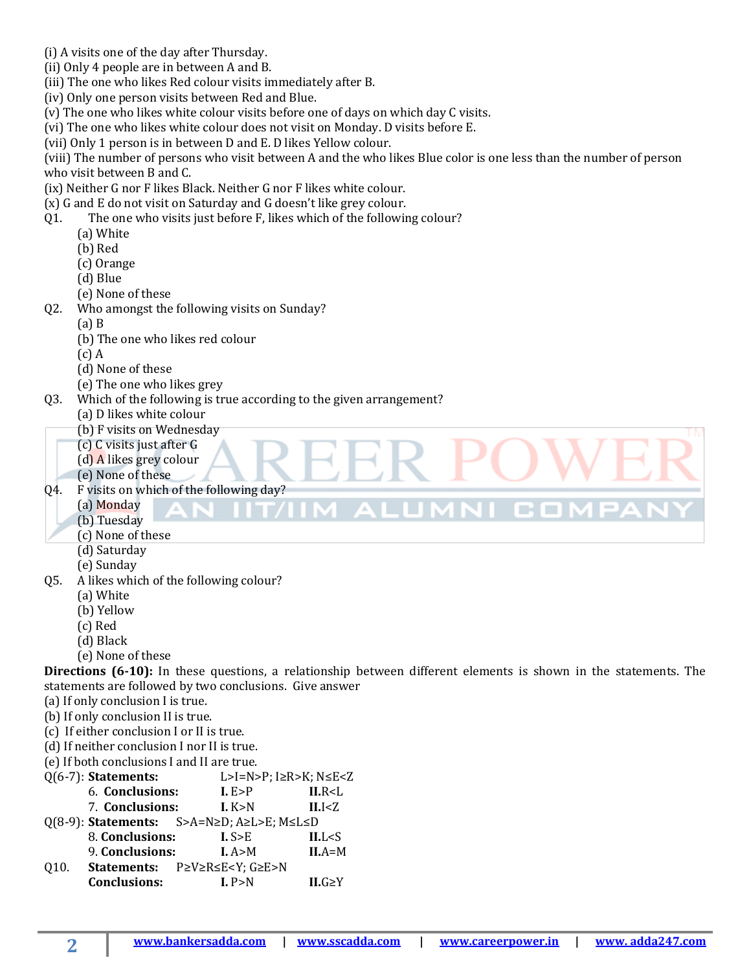- (i) A visits one of the day after Thursday.
- (ii) Only 4 people are in between A and B.
- (iii) The one who likes Red colour visits immediately after B.
- (iv) Only one person visits between Red and Blue.
- (v) The one who likes white colour visits before one of days on which day C visits.
- (vi) The one who likes white colour does not visit on Monday. D visits before E.
- (vii) Only 1 person is in between D and E. D likes Yellow colour.

(viii) The number of persons who visit between A and the who likes Blue color is one less than the number of person who visit between B and C.

(ix) Neither G nor F likes Black. Neither G nor F likes white colour.

- (x) G and E do not visit on Saturday and G doesn't like grey colour.
- Q1. The one who visits just before F, likes which of the following colour?
	- (a) White
	- (b) Red
	- (c) Orange
	- (d) Blue
	- (e) None of these
- Q2. Who amongst the following visits on Sunday?
	- (a) B
	- (b) The one who likes red colour
	- (c) A
	- (d) None of these
	- (e) The one who likes grey
- Q3. Which of the following is true according to the given arrangement?
	- (a) D likes white colour
	- (b) F visits on Wednesday
	- (c) C visits just after G
	- (d) A likes grey colour
	- (e) None of these

Q4. F visits on which of the following day?

- (a) Monday
- (b) Tuesday
- (c) None of these
- (d) Saturday
- (e) Sunday
- Q5. A likes which of the following colour?
	- (a) White
	- (b) Yellow
	- (c) Red
	- (d) Black

**2**

(e) None of these

**Directions (6-10):** In these questions, a relationship between different elements is shown in the statements. The statements are followed by two conclusions. Give answer

11 C.O.

- (a) If only conclusion I is true.
- (b) If only conclusion II is true.
- (c) If either conclusion I or II is true.
- (d) If neither conclusion I nor II is true.
- (e) If both conclusions I and II are true.
- Q(6-7): **Statements:** L>I=N>P; I≥R>K; N≤E<Z
	- 6. **Conclusions: I.** E>P **II.**R<L
	- 7. **Conclusions: I.** K>N **II.**I<Z
- Q(8-9): **Statements:** S>A=N≥D; A≥L>E; M≤L≤D
- 8. **Conclusions: I.** S>E **II.**L<S 9. **Conclusions: I.** A>M **II.**A=M
- Q10. **Statements:** P≥V≥R≤E<Y; G≥E>N **Conclusions: I.** P>N **II.**G≥Y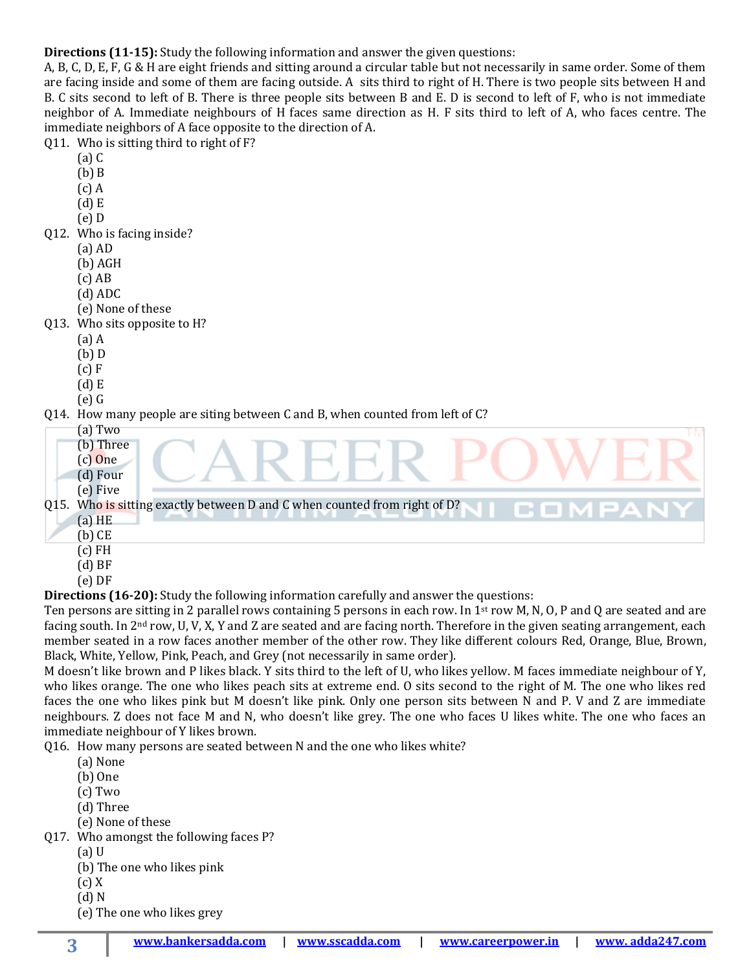**Directions (11-15):** Study the following information and answer the given questions:

A, B, C, D, E, F, G & H are eight friends and sitting around a circular table but not necessarily in same order. Some of them are facing inside and some of them are facing outside. A sits third to right of H. There is two people sits between H and B. C sits second to left of B. There is three people sits between B and E. D is second to left of F, who is not immediate neighbor of A. Immediate neighbours of H faces same direction as H. F sits third to left of A, who faces centre. The immediate neighbors of A face opposite to the direction of A.

| Q11. Who is sitting third to right of F?                                      |
|-------------------------------------------------------------------------------|
| $(a)$ $C$                                                                     |
| $(b)$ $B$                                                                     |
| $(c)$ A                                                                       |
| $(d)$ E                                                                       |
| $(e)$ D                                                                       |
| Q12. Who is facing inside?                                                    |
| $(a)$ AD                                                                      |
| (b) AGH                                                                       |
| $(c)$ AB                                                                      |
| $(d)$ ADC                                                                     |
| (e) None of these                                                             |
| Q13. Who sits opposite to H?                                                  |
| $(a)$ A                                                                       |
| $(b)$ D                                                                       |
| (c) F                                                                         |
| $(d)$ E<br>$(e)$ G                                                            |
| Q14. How many people are siting between C and B, when counted from left of C? |
| $(a)$ Two<br>ГM                                                               |
| (b) Three                                                                     |
| $(c)$ One                                                                     |
| (d) Four                                                                      |
| $(e)$ Five                                                                    |
| Q15. Who is sitting exactly between D and C when counted from right of D?     |
| $(a)$ HE                                                                      |
| $(b)$ CE                                                                      |
| $(c)$ FH                                                                      |

- (d) BF
- (e) DF

**Directions (16-20):** Study the following information carefully and answer the questions:

Ten persons are sitting in 2 parallel rows containing 5 persons in each row. In 1<sup>st</sup> row M, N, O, P and Q are seated and are facing south. In 2nd row, U, V, X, Y and Z are seated and are facing north. Therefore in the given seating arrangement, each member seated in a row faces another member of the other row. They like different colours Red, Orange, Blue, Brown, Black, White, Yellow, Pink, Peach, and Grey (not necessarily in same order).

M doesn't like brown and P likes black. Y sits third to the left of U, who likes yellow. M faces immediate neighbour of Y, who likes orange. The one who likes peach sits at extreme end. O sits second to the right of M. The one who likes red faces the one who likes pink but M doesn't like pink. Only one person sits between N and P. V and Z are immediate neighbours. Z does not face M and N, who doesn't like grey. The one who faces U likes white. The one who faces an immediate neighbour of Y likes brown.

Q16. How many persons are seated between N and the one who likes white?

- (a) None
- (b) One
- (c) Two
- (d) Three
- (e) None of these

Q17. Who amongst the following faces P?

- (a) U
- (b) The one who likes pink
- (c) X
- (d) N

**3**

(e) The one who likes grey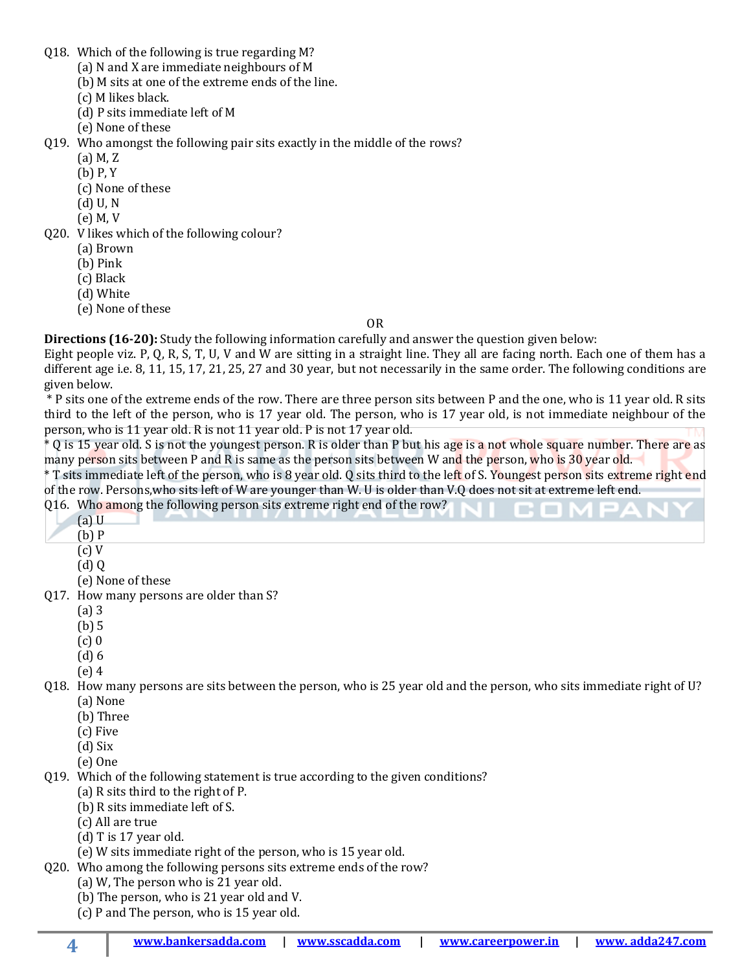- Q18. Which of the following is true regarding M?
	- (a) N and X are immediate neighbours of M
	- (b) M sits at one of the extreme ends of the line.
	- (c) M likes black.
	- (d) P sits immediate left of M
	- (e) None of these
- Q19. Who amongst the following pair sits exactly in the middle of the rows?
	- (a) M, Z
	- (b) P, Y
	- (c) None of these
	- (d) U, N
	- (e) M, V
- Q20. V likes which of the following colour?
	- (a) Brown
	- (b) Pink
	- (c) Black
	- (d) White
	- (e) None of these

## OR

**Directions (16-20):** Study the following information carefully and answer the question given below:

Eight people viz. P, Q, R, S, T, U, V and W are sitting in a straight line. They all are facing north. Each one of them has a different age i.e. 8, 11, 15, 17, 21, 25, 27 and 30 year, but not necessarily in the same order. The following conditions are given below.

\* P sits one of the extreme ends of the row. There are three person sits between P and the one, who is 11 year old. R sits third to the left of the person, who is 17 year old. The person, who is 17 year old, is not immediate neighbour of the person, who is 11 year old. R is not 11 year old. P is not 17 year old.

\* Q is 15 year old. S is not the youngest person. R is older than P but his age is a not whole square number. There are as many person sits between P and R is same as the person sits between W and the person, who is 30 year old.

\* T sits immediate left of the person, who is 8 year old. Q sits third to the left of S. Youngest person sits extreme right end of the row. Persons,who sits left of W are younger than W. U is older than V.Q does not sit at extreme left end.

- Q16. Who among the following person sits extreme right end of the row?
	- (a) U
	- (b) P
	- (c) V
	- $(d)$  Q
	- (e) None of these
- Q17. How many persons are older than S?
	- (a) 3
	- (b) 5
	- (c) 0
	- (d) 6
	- (e) 4
- Q18. How many persons are sits between the person, who is 25 year old and the person, who sits immediate right of U? (a) None
	- (b) Three
	- (c) Five
	- (d) Six
	- (e) One

**4**

- Q19. Which of the following statement is true according to the given conditions?
	- (a) R sits third to the right of P.
	- (b) R sits immediate left of S.
	- (c) All are true
	- (d) T is 17 year old.
	- (e) W sits immediate right of the person, who is 15 year old.
- Q20. Who among the following persons sits extreme ends of the row?
	- (a) W, The person who is 21 year old.
		- (b) The person, who is 21 year old and V.
		- (c) P and The person, who is 15 year old.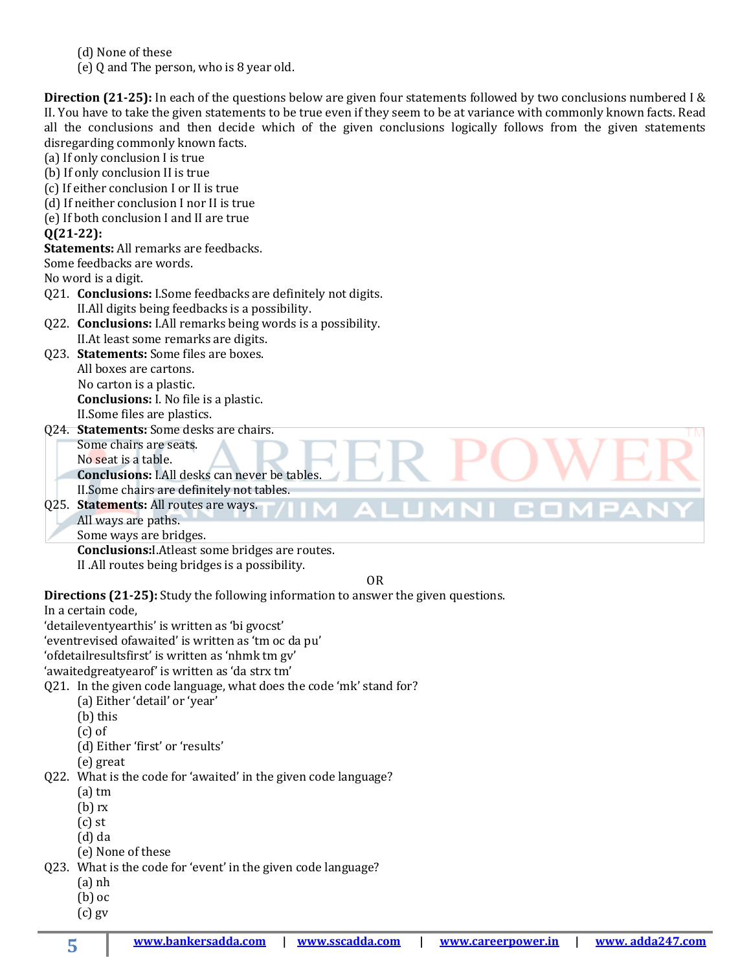(e) Q and The person, who is 8 year old.

**Direction (21-25):** In each of the questions below are given four statements followed by two conclusions numbered I & II. You have to take the given statements to be true even if they seem to be at variance with commonly known facts. Read all the conclusions and then decide which of the given conclusions logically follows from the given statements disregarding commonly known facts.

(a) If only conclusion I is true (b) If only conclusion II is true (c) If either conclusion I or II is true (d) If neither conclusion I nor II is true (e) If both conclusion I and II are true **Q(21-22): Statements:** All remarks are feedbacks. Some feedbacks are words. No word is a digit. Q21. **Conclusions:** I.Some feedbacks are definitely not digits. II.All digits being feedbacks is a possibility. Q22. **Conclusions:** I.All remarks being words is a possibility. II.At least some remarks are digits. Q23. **Statements:** Some files are boxes. All boxes are cartons. No carton is a plastic. **Conclusions:** I. No file is a plastic. II.Some files are plastics. Q24. **Statements:** Some desks are chairs. Some chairs are seats. No seat is a table. **Conclusions:** I.All desks can never be tables. II.Some chairs are definitely not tables. Q25. **Statements:** All routes are ways. JI CON All ways are paths. Some ways are bridges.  **Conclusions:**I.Atleast some bridges are routes. II .All routes being bridges is a possibility. OR **Directions (21-25):** Study the following information to answer the given questions. In a certain code, 'detaileventyearthis' is written as 'bi gvocst' 'eventrevised ofawaited' is written as 'tm oc da pu' 'ofdetailresultsfirst' is written as 'nhmk tm gv'

'awaitedgreatyearof' is written as 'da strx tm'

Q21. In the given code language, what does the code 'mk' stand for?

- (a) Either 'detail' or 'year'
- (b) this
- (c) of
- (d) Either 'first' or 'results'
- (e) great

Q22. What is the code for 'awaited' in the given code language?

- (a) tm
- (b) rx
- (c) st
- (d) da
- (e) None of these

Q23. What is the code for 'event' in the given code language?

- (a) nh
	- (b) oc
	- (c) gv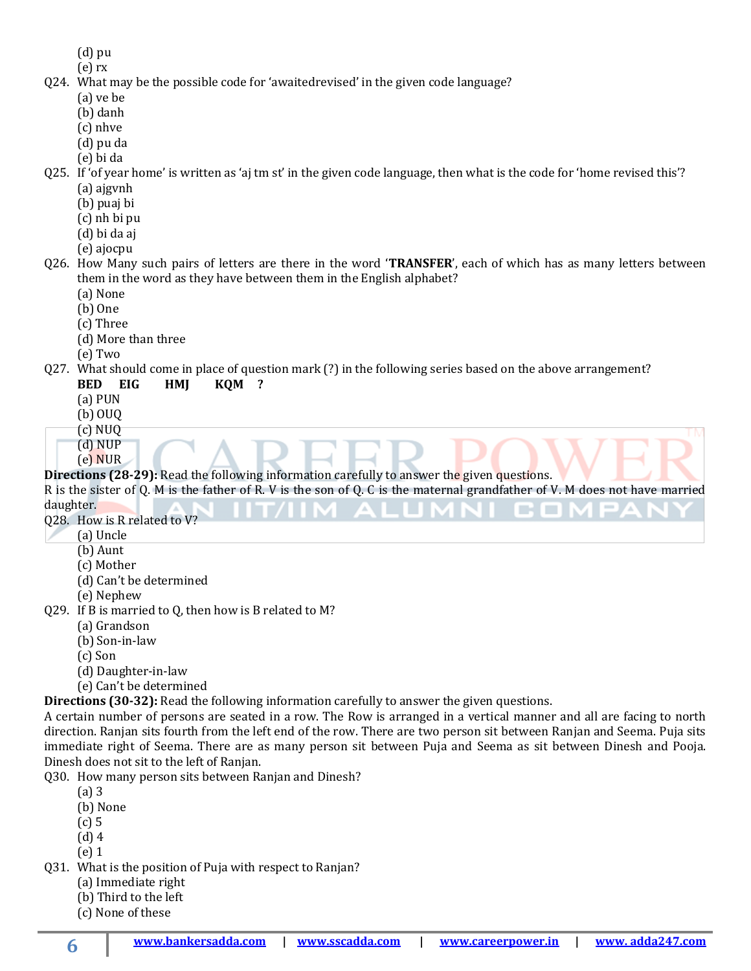- (d) pu
- (e) rx Q24. What may be the possible code for 'awaitedrevised' in the given code language?
	- (a) ve be
	- (b) danh
	- (c) nhve
	- (d) pu da
	- (e) bi da

Q25. If 'of year home' is written as 'aj tm st' in the given code language, then what is the code for 'home revised this'? (a) ajgvnh

- (b) puaj bi
- 
- (c) nh bi pu
- (d) bi da aj
- (e) ajocpu

Q26. How Many such pairs of letters are there in the word '**TRANSFER**', each of which has as many letters between them in the word as they have between them in the English alphabet?

- (a) None
- (b) One
- (c) Three
- (d) More than three
- (e) Two

## Q27. What should come in place of question mark (?) in the following series based on the above arrangement?

- **BED EIG HMJ KQM ?**
- (a) PUN
- (b) OUQ
- (c) NUQ
- (d) NUP
- (e) NUR

## **Directions (28-29):** Read the following information carefully to answer the given questions.

R is the sister of Q. M is the father of R. V is the son of Q. C is the maternal grandfather of V. M does not have married

daughter.

- Q28. How is R related to V?
	- (a) Uncle
	- (b) Aunt
	- (c) Mother
	- (d) Can't be determined
	- (e) Nephew
- Q29. If B is married to Q, then how is B related to M?
	- (a) Grandson
	- (b) Son-in-law
	- (c) Son
	- (d) Daughter-in-law
	- (e) Can't be determined

**Directions (30-32):** Read the following information carefully to answer the given questions.

A certain number of persons are seated in a row. The Row is arranged in a vertical manner and all are facing to north direction. Ranjan sits fourth from the left end of the row. There are two person sit between Ranjan and Seema. Puja sits immediate right of Seema. There are as many person sit between Puja and Seema as sit between Dinesh and Pooja. Dinesh does not sit to the left of Ranjan.

Q30. How many person sits between Ranjan and Dinesh?

- (a) 3
- (b) None
- (c) 5
- (d) 4
- (e) 1
- Q31. What is the position of Puja with respect to Ranjan?
	- (a) Immediate right
	- (b) Third to the left
	- (c) None of these